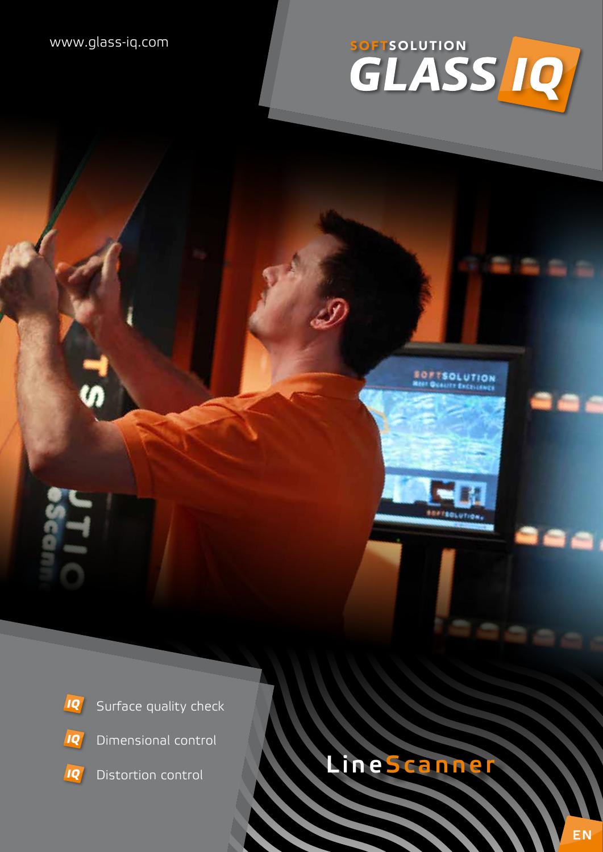# WWW.glass-iq.com SOFTSOLUTION

**SOFTSOLUTION** 



- IQ Dimensional control
- **IQ** Distortion control

# **LineScanner**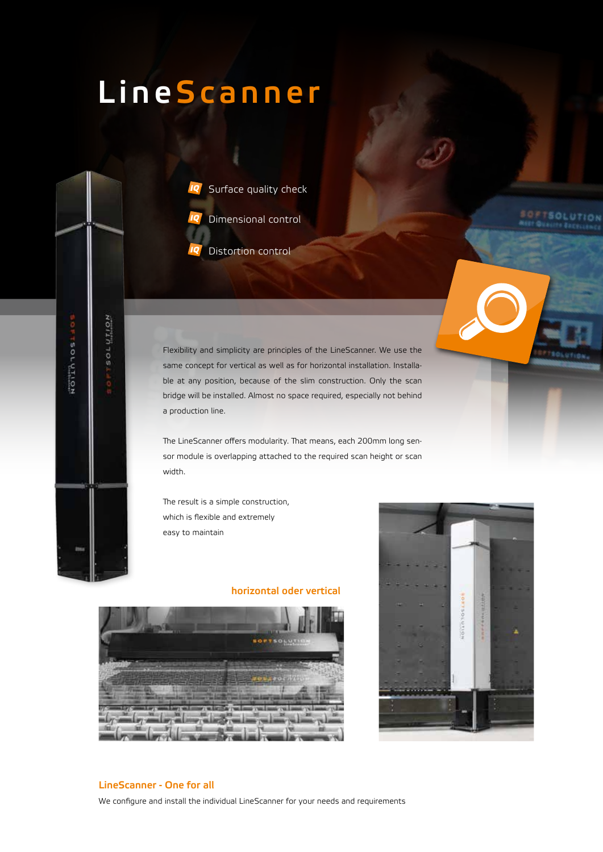# **LineScanner**



Distortion control

Flexibility and simplicity are principles of the LineScanner. We use the same concept for vertical as well as for horizontal installation. Installable at any position, because of the slim construction. Only the scan bridge will be installed. Almost no space required, especially not behind a production line.

The LineScanner offers modularity. That means, each 200mm long sensor module is overlapping attached to the required scan height or scan width.

The result is a simple construction, which is flexible and extremely easy to maintain

#### **horizontal oder vertical**





**SOFTSOLUTION** 

#### **LineScanner - One for all**

ROTHTION

Rollhhosisos

We configure and install the individual LineScanner for your needs and requirements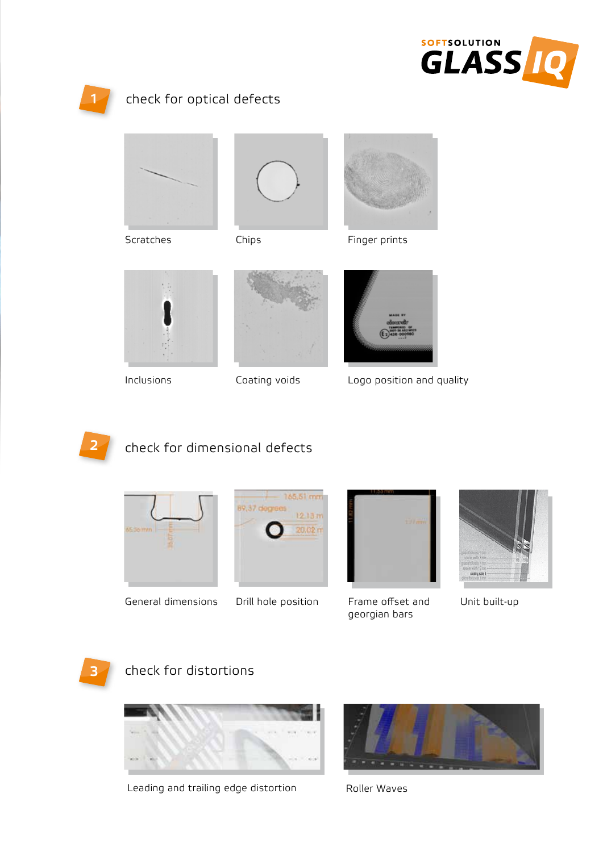



# **1** check for optical defects



Scratches





Finger prints



Inclusions





Logo position and quality



# check for dimensional defects



General dimensions





Drill hole position Frame offset and Unit built-up georgian bars





## check for distortions



Leading and trailing edge distortion



Roller Waves